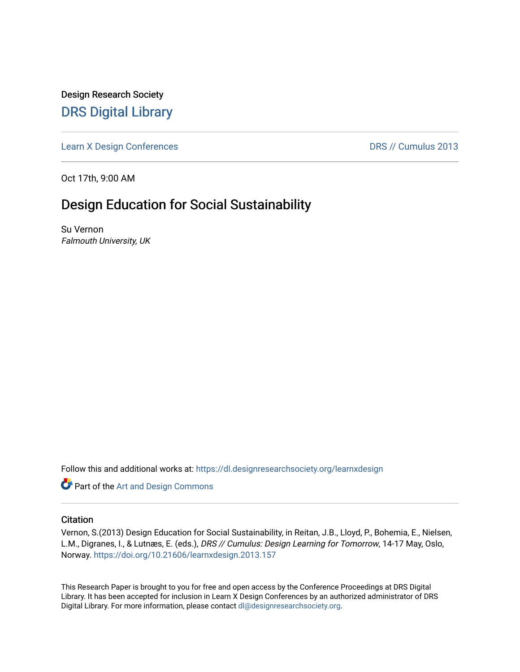Design Research Society [DRS Digital Library](https://dl.designresearchsociety.org/)

[Learn X Design Conferences](https://dl.designresearchsociety.org/learnxdesign) **DRS // Cumulus 2013** 

Oct 17th, 9:00 AM

# Design Education for Social Sustainability

Su Vernon Falmouth University, UK

Follow this and additional works at: [https://dl.designresearchsociety.org/learnxdesign](https://dl.designresearchsociety.org/learnxdesign?utm_source=dl.designresearchsociety.org%2Flearnxdesign%2Flearnxdesign2013%2Fresearchpapers%2F154&utm_medium=PDF&utm_campaign=PDFCoverPages)

**Part of the [Art and Design Commons](http://network.bepress.com/hgg/discipline/1049?utm_source=dl.designresearchsociety.org%2Flearnxdesign%2Flearnxdesign2013%2Fresearchpapers%2F154&utm_medium=PDF&utm_campaign=PDFCoverPages)** 

### **Citation**

Vernon, S.(2013) Design Education for Social Sustainability, in Reitan, J.B., Lloyd, P., Bohemia, E., Nielsen, L.M., Digranes, I., & Lutnæs, E. (eds.), DRS // Cumulus: Design Learning for Tomorrow, 14-17 May, Oslo, Norway.<https://doi.org/10.21606/learnxdesign.2013.157>

This Research Paper is brought to you for free and open access by the Conference Proceedings at DRS Digital Library. It has been accepted for inclusion in Learn X Design Conferences by an authorized administrator of DRS Digital Library. For more information, please contact [dl@designresearchsociety.org](mailto:dl@designresearchsociety.org).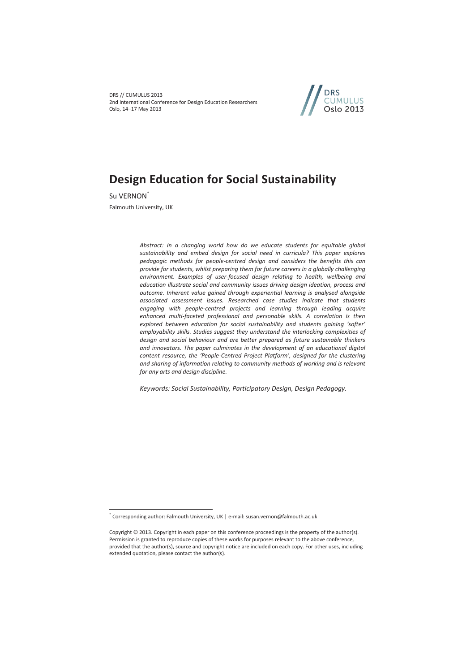DRS // CUMULUS 2013 2nd International Conference for Design Education Researchers Oslo, 14–17 May 2013



# **Design Education for Social Sustainability**

Su VERNON<sup>\*</sup> Falmouth University, UK

 $\overline{a}$ 

*Abstract: In a changing world how do we educate students for equitable global sustainability and embed design for social need in curricula? This paper explores pedagogic methods for people-centred design and considers the benefits this can provide for students, whilst preparing them for future careers in a globally challenging environment. Examples of user-focused design relating to health, wellbeing and education illustrate social and community issues driving design ideation, process and outcome. Inherent value gained through experiential learning is analysed alongside associated assessment issues. Researched case studies indicate that students engaging with people-centred projects and learning through leading acquire enhanced multi-faceted professional and personable skills. A correlation is then explored between education for social sustainability and students gaining 'softer' employability skills. Studies suggest they understand the interlocking complexities of design and social behaviour and are better prepared as future sustainable thinkers and innovators. The paper culminates in the development of an educational digital content resource, the 'People-Centred Project Platform', designed for the clustering and sharing of information relating to community methods of working and is relevant for any arts and design discipline.* 

*Keywords: Social Sustainability, Participatory Design, Design Pedagogy.* 

<sup>\*</sup> Corresponding author: Falmouth University, UK | e-mail: susan.vernon@falmouth.ac.uk

Copyright © 2013. Copyright in each paper on this conference proceedings is the property of the author(s). Permission is granted to reproduce copies of these works for purposes relevant to the above conference, provided that the author(s), source and copyright notice are included on each copy. For other uses, including extended quotation, please contact the author(s).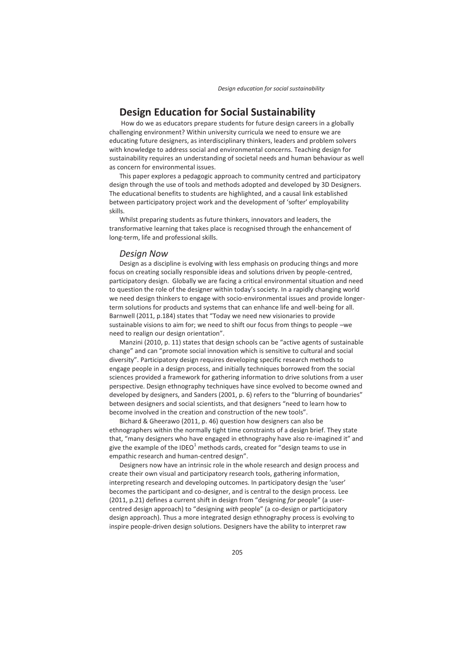# **Design Education for Social Sustainability**

 How do we as educators prepare students for future design careers in a globally challenging environment? Within university curricula we need to ensure we are educating future designers, as interdisciplinary thinkers, leaders and problem solvers with knowledge to address social and environmental concerns. Teaching design for sustainability requires an understanding of societal needs and human behaviour as well as concern for environmental issues.

This paper explores a pedagogic approach to community centred and participatory design through the use of tools and methods adopted and developed by 3D Designers. The educational benefits to students are highlighted, and a causal link established between participatory project work and the development of 'softer' employability skills.

Whilst preparing students as future thinkers, innovators and leaders, the transformative learning that takes place is recognised through the enhancement of long-term, life and professional skills.

#### *Design Now*

Design as a discipline is evolving with less emphasis on producing things and more focus on creating socially responsible ideas and solutions driven by people-centred, participatory design. Globally we are facing a critical environmental situation and need to question the role of the designer within today's society. In a rapidly changing world we need design thinkers to engage with socio-environmental issues and provide longerterm solutions for products and systems that can enhance life and well-being for all. Barnwell (2011, p.184) states that "Today we need new visionaries to provide sustainable visions to aim for; we need to shift our focus from things to people –we need to realign our design orientation".

Manzini (2010, p. 11) states that design schools can be "active agents of sustainable change" and can "promote social innovation which is sensitive to cultural and social diversity". Participatory design requires developing specific research methods to engage people in a design process, and initially techniques borrowed from the social sciences provided a framework for gathering information to drive solutions from a user perspective. Design ethnography techniques have since evolved to become owned and developed by designers, and Sanders (2001, p. 6) refers to the "blurring of boundaries" between designers and social scientists, and that designers "need to learn how to become involved in the creation and construction of the new tools".

Bichard & Gheerawo (2011, p. 46) question how designers can also be ethnographers within the normally tight time constraints of a design brief. They state that, "many designers who have engaged in ethnography have also re-imagined it" and give the example of the IDEO $^1$  methods cards, created for "design teams to use in empathic research and human-centred design".

Designers now have an intrinsic role in the whole research and design process and create their own visual and participatory research tools, gathering information, interpreting research and developing outcomes. In participatory design the 'user' becomes the participant and co-designer, and is central to the design process. Lee (2011, p.21) defines a current shift in design from "designing *for* people" (a usercentred design approach) to "designing *with* people" (a co-design or participatory design approach). Thus a more integrated design ethnography process is evolving to inspire people-driven design solutions. Designers have the ability to interpret raw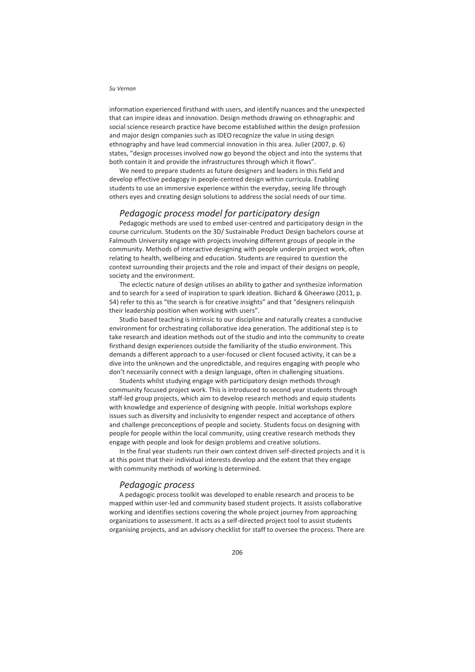information experienced firsthand with users, and identify nuances and the unexpected that can inspire ideas and innovation. Design methods drawing on ethnographic and social science research practice have become established within the design profession and major design companies such as IDEOrecognize the value in using design ethnography and have lead commercial innovation in this area. Julier (2007, p. 6) states, "design processes involved now go beyond the object and into the systems that both contain it and provide the infrastructures through which it flows".

We need to prepare students as future designers and leaders in this field and develop effective pedagogy in people-centred design within curricula. Enabling students to use an immersive experience within the everyday, seeing life through others eyes and creating design solutions to address the social needs of our time.

### *Pedagogic process model for participatory design*

Pedagogic methods are used to embed user-centred and participatory design in the course curriculum. Students on the 3D/ Sustainable Product Design bachelors course at Falmouth University engage with projects involving different groups of people in the community. Methods of interactive designing with people underpin project work, often relating to health, wellbeing and education. Students are required to question the context surrounding their projects and the role and impact of their designs on people, society and the environment.

The eclectic nature of design utilises an ability to gather and synthesize information and to search for a seed of inspiration to spark ideation. Bichard & Gheerawo (2011, p. 54) refer to this as "the search is for creative insights" and that "designers relinquish their leadership position when working with users".

Studio based teaching is intrinsic to our discipline and naturally creates a conducive environment for orchestrating collaborative idea generation. The additional step is to take research and ideation methods out of the studio and into the community to create firsthand design experiences outside the familiarity of the studio environment. This demands a different approach to a user-focused or client focused activity, it can be a dive into the unknown and the unpredictable, and requires engaging with people who don't necessarily connect with a design language, often in challenging situations.

Students whilst studying engage with participatory design methods through community focused project work. This is introduced to second year students through staff-led group projects, which aim to develop research methods and equip students with knowledge and experience of designing with people. Initial workshops explore issues such as diversity and inclusivity to engender respect and acceptance of others and challenge preconceptions of people and society. Students focus on designing with people for people within the local community, using creative research methods they engage with people and look for design problems and creative solutions.

In the final year students run their own context driven self-directed projects and it is at this point that their individual interests develop and the extent that they engage with community methods of working is determined.

#### *Pedagogic process*

A pedagogic process toolkit was developed to enable research and process to be mapped within user-led and community based student projects. It assists collaborative working and identifies sections covering the whole project journey from approaching organizations to assessment. It acts as a self-directed project tool to assist students organising projects, and an advisory checklist for staff to oversee the process. There are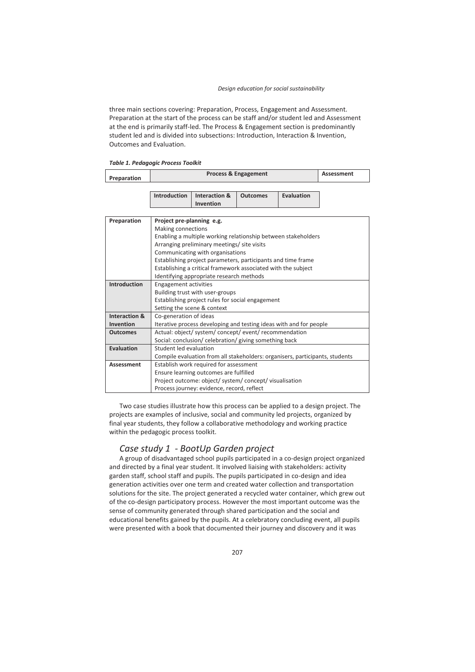three main sections covering: Preparation, Process, Engagement and Assessment. Preparation at the start of the process can be staff and/or student led and Assessment at the end is primarily staff-led. The Process & Engagement section is predominantly student led and is divided into subsections: Introduction, Interaction & Invention, Outcomes and Evaluation.

|  | Table 1. Pedagogic Process Toolkit |  |  |
|--|------------------------------------|--|--|
|--|------------------------------------|--|--|

| Preparation | <b>Process &amp; Engagement</b> | Assessment |
|-------------|---------------------------------|------------|
|             |                                 |            |

| Introduction   Interaction &   Outcomes | Evaluation |
|-----------------------------------------|------------|
| Invention                               |            |

| Preparation              | Project pre-planning e.g.                                                    |
|--------------------------|------------------------------------------------------------------------------|
|                          | Making connections                                                           |
|                          | Enabling a multiple working relationship between stakeholders                |
|                          | Arranging preliminary meetings/ site visits                                  |
|                          | Communicating with organisations                                             |
|                          | Establishing project parameters, participants and time frame                 |
|                          | Establishing a critical framework associated with the subject                |
|                          | Identifying appropriate research methods                                     |
| <b>Introduction</b>      | <b>Engagement activities</b>                                                 |
|                          | Building trust with user-groups                                              |
|                          | Establishing project rules for social engagement                             |
|                          | Setting the scene & context                                                  |
| <b>Interaction &amp;</b> | Co-generation of ideas                                                       |
| <b>Invention</b>         | Iterative process developing and testing ideas with and for people           |
| <b>Outcomes</b>          | Actual: object/system/concept/event/recommendation                           |
|                          | Social: conclusion/ celebration/ giving something back                       |
| Evaluation               | Student led evaluation                                                       |
|                          | Compile evaluation from all stakeholders: organisers, participants, students |
| <b>Assessment</b>        | Establish work required for assessment                                       |
|                          | Ensure learning outcomes are fulfilled                                       |
|                          | Project outcome: object/ system/ concept/ visualisation                      |
|                          | Process journey: evidence, record, reflect                                   |

Two case studies illustrate how this process can be applied to a design project. The projects are examples of inclusive, social and community led projects, organized by final year students, they follow a collaborative methodology and working practice within the pedagogic process toolkit.

### *Case study 1 - BootUp Garden project*

A group of disadvantaged school pupils participated in a co-design project organized and directed by a final year student. It involved liaising with stakeholders: activity garden staff, school staff and pupils. The pupils participated in co-design and idea generation activities over one term and created water collection and transportation solutions for the site. The project generated a recycled water container, which grew out of the co-design participatory process. However the most important outcome was the sense of community generated through shared participation and the social and educational benefits gained by the pupils. At a celebratory concluding event, all pupils were presented with a book that documented their journey and discovery and it was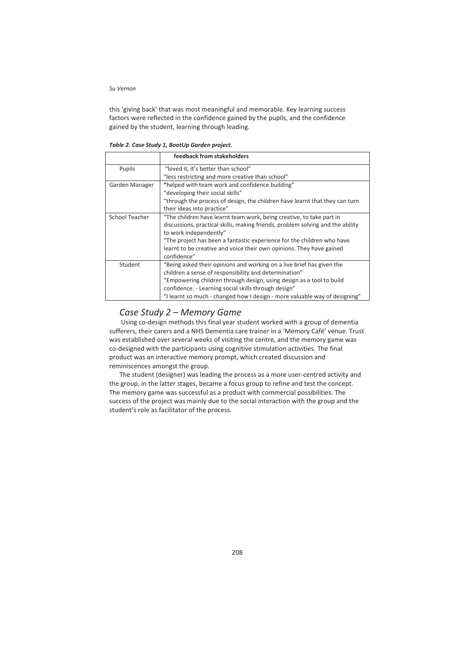this 'giving back' that was most meaningful and memorable. Key learning success factors were reflected in the confidence gained by the pupils, and the confidence gained by the student, learning through leading.

|                | feedback from stakeholders                                                     |
|----------------|--------------------------------------------------------------------------------|
| Pupils         | "loved it, it's better than school"                                            |
|                | "less restricting and more creative than school"                               |
| Garden Manager | "helped with team work and confidence building"                                |
|                | "developing their social skills"                                               |
|                | "through the process of design, the children have learnt that they can turn    |
|                | their ideas into practice"                                                     |
| School Teacher | "The children have learnt team work, being creative, to take part in           |
|                | discussions, practical skills, making friends, problem solving and the ability |
|                | to work independently"                                                         |
|                | "The project has been a fantastic experience for the children who have         |
|                | learnt to be creative and voice their own opinions. They have gained           |
|                | confidence"                                                                    |
| Student        | "Being asked their opinions and working on a live brief has given the          |
|                | children a sense of responsibility and determination"                          |
|                | "Empowering children through design, using design as a tool to build           |
|                | confidence. - Learning social skills through design"                           |
|                | "I learnt so much - changed how I design - more valuable way of designing"     |

*Table 2. Case Study 1, BootUp Garden project.* 

## *Case Study 2 – Memory Game*

 Using co-design methods this final year student worked with a group of dementia sufferers, their carers and a NHS Dementia care trainer in a 'Memory Café' venue. Trust was established over several weeks of visiting the centre, and the memory game was co-designed with the participants using cognitive stimulation activities. The final product was an interactive memory prompt, which created discussion and reminiscences amongst the group.

The student (designer) was leading the process as a more user-centred activity and the group, in the latter stages, became a focus group to refine and test the concept. The memory game was successful as a product with commercial possibilities. The success of the project was mainly due to the social interaction with the group and the student's role as facilitator of the process.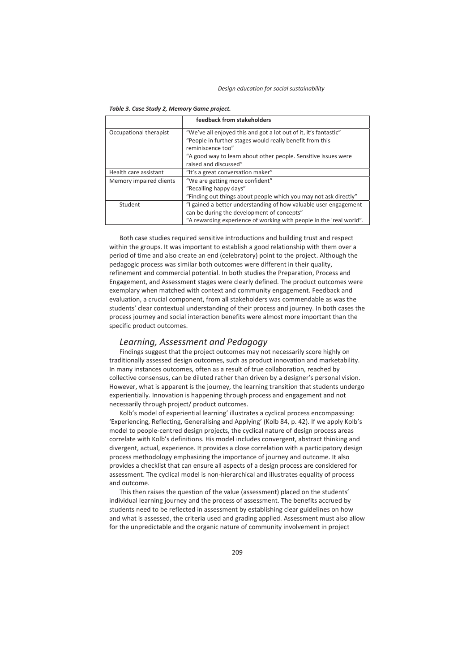|                         | feedback from stakeholders                                          |
|-------------------------|---------------------------------------------------------------------|
| Occupational therapist  | "We've all enjoyed this and got a lot out of it, it's fantastic"    |
|                         | "People in further stages would really benefit from this            |
|                         | reminiscence too"                                                   |
|                         | "A good way to learn about other people. Sensitive issues were      |
|                         | raised and discussed"                                               |
| Health care assistant   | "It's a great conversation maker"                                   |
| Memory impaired clients | "We are getting more confident"                                     |
|                         | "Recalling happy days"                                              |
|                         | "Finding out things about people which you may not ask directly"    |
| Student                 | "I gained a better understanding of how valuable user engagement    |
|                         | can be during the development of concepts"                          |
|                         | "A rewarding experience of working with people in the 'real world". |

|  |  |  |  |  |  | Table 3. Case Study 2, Memory Game project. |  |  |
|--|--|--|--|--|--|---------------------------------------------|--|--|
|--|--|--|--|--|--|---------------------------------------------|--|--|

Both case studies required sensitive introductions and building trust and respect within the groups. It was important to establish a good relationship with them over a period of time and also create an end (celebratory) point to the project. Although the pedagogic process was similar both outcomes were different in their quality, refinement and commercial potential. In both studies the Preparation, Process and Engagement, and Assessment stages were clearly defined. The product outcomes were exemplary when matched with context and community engagement. Feedback and evaluation, a crucial component, from all stakeholders was commendable as was the students' clear contextual understanding of their process and journey. In both cases the process journey and social interaction benefits were almost more important than the specific product outcomes.

### *Learning, Assessment and Pedagogy*

Findings suggest that the project outcomes may not necessarily score highly on traditionally assessed design outcomes, such as product innovation and marketability. In many instances outcomes, often as a result of true collaboration, reached by collective consensus, can be diluted rather than driven by a designer's personal vision. However, what is apparent is the journey, the learning transition that students undergo experientially. Innovation is happening through process and engagement and not necessarily through project/ product outcomes.

Kolb's model of experiential learning' illustrates a cyclical process encompassing: 'Experiencing, Reflecting, Generalising and Applying' (Kolb 84, p. 42). If we apply Kolb's model to people-centred design projects, the cyclical nature of design process areas correlate with Kolb's definitions. His model includes convergent, abstract thinking and divergent, actual, experience. It provides a close correlation with a participatory design process methodology emphasizing the importance of journey and outcome. It also provides a checklist that can ensure all aspects of a design process are considered for assessment. The cyclical model is non-hierarchical and illustrates equality of process and outcome.

This then raises the question of the value (assessment) placed on the students' individual learning journey and the process of assessment. The benefits accrued by students need to be reflected in assessment by establishing clear guidelines on how and what is assessed, the criteria used and grading applied. Assessment must also allow for the unpredictable and the organic nature of community involvement in project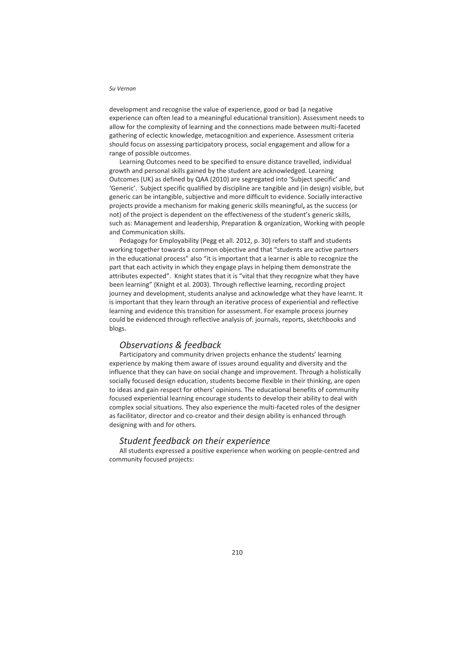development and recognise the value of experience, good or bad (a negative experience can often lead to a meaningful educational transition). Assessment needs to allow for the complexity of learning and the connections made between multi-faceted gathering of eclectic knowledge, metacognition and experience. Assessment criteria should focus on assessing participatory process, social engagement and allow for a range of possible outcomes.

Learning Outcomes need to be specified to ensure distance travelled, individual growth and personal skills gained by the student are acknowledged. Learning Outcomes (UK) as defined by QAA (2010) are segregated into 'Subject specific' and 'Generic'. Subject specific qualified by discipline are tangible and (in design) visible, but generic can be intangible, subjective and more difficult to evidence. Socially interactive projects provide a mechanism for making generic skills meaningful**,** as the success (or not) of the project is dependent on the effectiveness of the student's generic skills, such as: Management and leadership, Preparation & organization, Working with people and Communication skills.

Pedagogy for Employability (Pegg et all. 2012, p. 30) refers to staff and students working together towards a common objective and that "students are active partners in the educational process" also "it is important that a learner is able to recognize the part that each activity in which they engage plays in helping them demonstrate the attributes expected". Knight states that it is "vital that they recognize what they have been learning" (Knight et al. 2003). Through reflective learning, recording project journey and development, students analyse and acknowledge what they have learnt. It is important that they learn through an iterative process of experiential and reflective learning and evidence this transition for assessment. For example process journey could be evidenced through reflective analysis of: journals, reports, sketchbooks and blogs.

### *Observations & feedback*

Participatory and community driven projects enhance the students' learning experience by making them aware of issues around equality and diversity and the influence that they can have on social change and improvement. Through a holistically socially focused design education, students become flexible in their thinking, are open to ideas and gain respect for others' opinions. The educational benefits of community focused experiential learning encourage students to develop their ability to deal with complex social situations. They also experience the multi-faceted roles of the designer as facilitator, director and co-creator and their design ability is enhanced through designing with and for others.

#### *Student feedback on their experience*

All students expressed a positive experience when working on people-centred and community focused projects: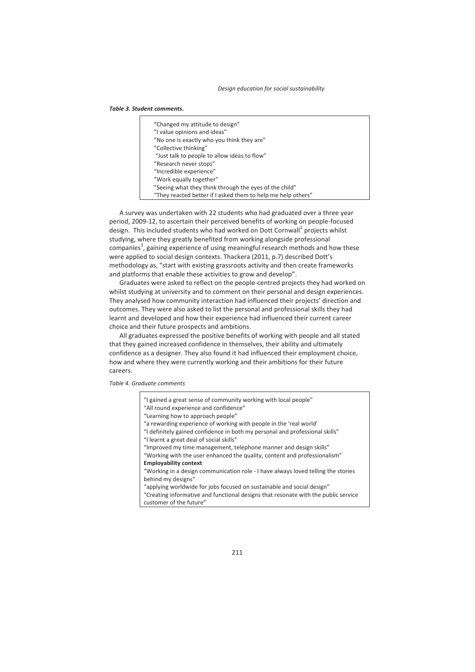#### *Table 3. Student comments.*

| "Changed my attitude to design"                              |
|--------------------------------------------------------------|
| "I value opinions and ideas"                                 |
| "No one is exactly who you think they are"                   |
| "Collective thinking"                                        |
| "Just talk to people to allow ideas to flow"                 |
| "Research never stops"                                       |
| "Incredible experience"                                      |
| "Work equally together"                                      |
| "Seeing what they think through the eyes of the child"       |
| "They reacted better if I asked them to help me help others" |

A survey was undertaken with 22 students who had graduated over a three year period, 2009-12, to ascertain their perceived benefits of working on people-focused design. This included students who had worked on Dott Cornwall<sup>2</sup> projects whilst studying, where they greatly benefited from working alongside professional companies<sup>3</sup>, gaining experience of using meaningful research methods and how these were applied to social design contexts. Thackera (2011, p.7) described Dott's methodology as, "start with existing grassroots activity and then create frameworks and platforms that enable these activities to grow and develop".

Graduates were asked to reflect on the people-centred projects they had worked on whilst studying at university and to comment on their personal and design experiences. They analysed how community interaction had influenced their projects' direction and outcomes. They were also asked to list the personal and professional skills they had learnt and developed and how their experience had influenced their current career choice and their future prospects and ambitions.

All graduates expressed the positive benefits of working with people and all stated that they gained increased confidence in themselves, their ability and ultimately confidence as a designer. They also found it had influenced their employment choice, how and where they were currently working and their ambitions for their future careers.

*Table 4. Graduate comments* 

| "applying worldwide for jobs focused on sustainable and social design"<br>"Creating informative and functional designs that resonate with the public service<br>customer of the future" | "I gained a great sense of community working with local people"<br>"All round experience and confidence"<br>"Learning how to approach people"<br>"a rewarding experience of working with people in the 'real world'<br>"I definitely gained confidence in both my personal and professional skills"<br>"I learnt a great deal of social skills"<br>"Improved my time management, telephone manner and design skills"<br>"Working with the user enhanced the quality, content and professionalism"<br><b>Employability context</b><br>"Working in a design communication role - I have always loved telling the stories |
|-----------------------------------------------------------------------------------------------------------------------------------------------------------------------------------------|------------------------------------------------------------------------------------------------------------------------------------------------------------------------------------------------------------------------------------------------------------------------------------------------------------------------------------------------------------------------------------------------------------------------------------------------------------------------------------------------------------------------------------------------------------------------------------------------------------------------|
| behind my designs"                                                                                                                                                                      |                                                                                                                                                                                                                                                                                                                                                                                                                                                                                                                                                                                                                        |
|                                                                                                                                                                                         |                                                                                                                                                                                                                                                                                                                                                                                                                                                                                                                                                                                                                        |
|                                                                                                                                                                                         |                                                                                                                                                                                                                                                                                                                                                                                                                                                                                                                                                                                                                        |
|                                                                                                                                                                                         |                                                                                                                                                                                                                                                                                                                                                                                                                                                                                                                                                                                                                        |
|                                                                                                                                                                                         |                                                                                                                                                                                                                                                                                                                                                                                                                                                                                                                                                                                                                        |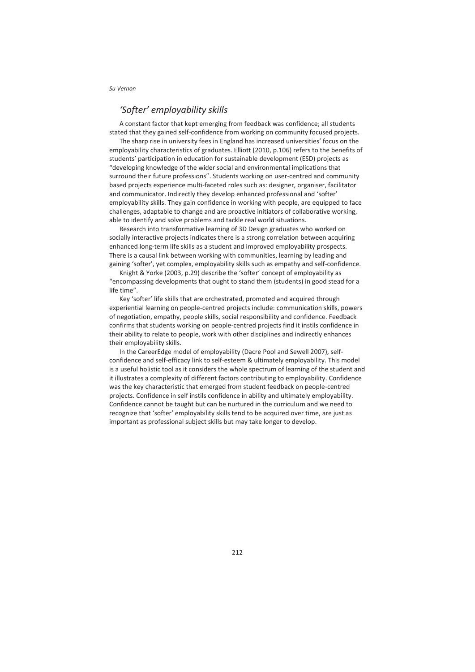### *'Softer' employability skills*

A constant factor that kept emerging from feedback was confidence; all students stated that they gained self-confidence from working on community focused projects.

The sharp rise in university fees in England has increased universities' focus on the employability characteristics of graduates. Elliott (2010, p.106) refers to the benefits of students' participation in education for sustainable development (ESD) projects as "developing knowledge of the wider social and environmental implications that surround their future professions". Students working on user-centred and community based projects experience multi-faceted roles such as: designer, organiser, facilitator and communicator. Indirectly they develop enhanced professional and 'softer' employability skills. They gain confidence in working with people, are equipped to face challenges, adaptable to change and are proactive initiators of collaborative working, able to identify and solve problems and tackle real world situations.

Research into transformative learning of 3D Design graduates who worked on socially interactive projects indicates there is a strong correlation between acquiring enhanced long-term life skills as a student and improved employability prospects. There is a causal link between working with communities, learning by leading and gaining 'softer', yet complex, employability skills such as empathy and self-confidence.

Knight & Yorke (2003, p.29) describe the 'softer' concept of employability as "encompassing developments that ought to stand them (students) in good stead for a life time".

Key 'softer' life skills that are orchestrated, promoted and acquired through experiential learning on people-centred projects include: communication skills, powers of negotiation, empathy, people skills, social responsibility and confidence. Feedback confirms that students working on people-centred projects find it instils confidence in their ability to relate to people, work with other disciplines and indirectly enhances their employability skills.

In the CareerEdge model of employability (Dacre Pool and Sewell 2007), selfconfidence and self-efficacy link to self-esteem & ultimately employability. This model is a useful holistic tool as it considers the whole spectrum of learning of the student and it illustrates a complexity of different factors contributing to employability. Confidence was the key characteristic that emerged from student feedback on people-centred projects. Confidence in self instils confidence in ability and ultimately employability. Confidence cannot be taught but can be nurtured in the curriculum and we need to recognize that 'softer' employability skills tend to be acquired over time, are just as important as professional subject skills but may take longer to develop.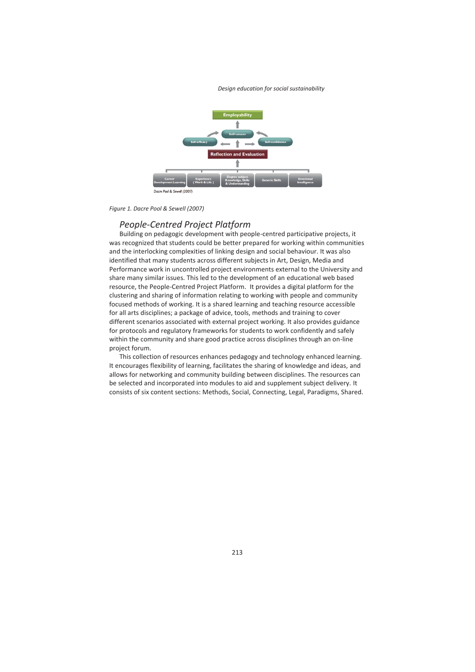*Design education for social sustainability* 



*Figure 1. Dacre Pool & Sewell (2007)* 

#### *People-Centred Project Platform*

Building on pedagogic development with people-centred participative projects, it was recognized that students could be better prepared for working within communities and the interlocking complexities of linking design and social behaviour. It was also identified that many students across different subjects in Art, Design, Media and Performance work in uncontrolled project environments external to the University and share many similar issues. This led to the development of an educational web based resource, the People-Centred Project Platform. It provides a digital platform for the clustering and sharing of information relating to working with people and community focused methods of working. It is a shared learning and teaching resource accessible for all arts disciplines; a package of advice, tools, methods and training to cover different scenarios associated with external project working. It also provides guidance for protocols and regulatory frameworks for students to work confidently and safely within the community and share good practice across disciplines through an on-line project forum.

This collection of resources enhances pedagogy and technology enhanced learning. It encourages flexibility of learning, facilitates the sharing of knowledge and ideas, and allows for networking and community building between disciplines. The resources can be selected and incorporated into modules to aid and supplement subject delivery. It consists of six content sections: Methods, Social, Connecting, Legal, Paradigms, Shared.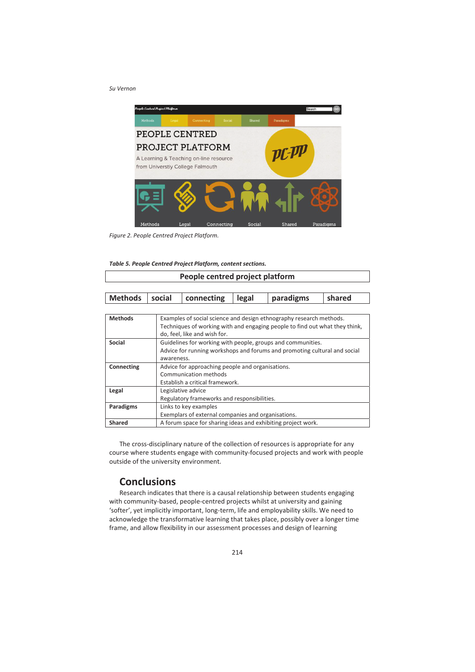

*Figure 2. People Centred Project Platform.* 

|  |  |  |  |  | Table 5. People Centred Project Platform, content sections. |
|--|--|--|--|--|-------------------------------------------------------------|
|--|--|--|--|--|-------------------------------------------------------------|

| People centred project platform |  |
|---------------------------------|--|
|                                 |  |

| Methods   social   connecting   legal<br>shared<br>paradigms |
|--------------------------------------------------------------|
|--------------------------------------------------------------|

| <b>Methods</b> | Examples of social science and design ethnography research methods.         |
|----------------|-----------------------------------------------------------------------------|
|                | Techniques of working with and engaging people to find out what they think, |
|                | do, feel, like and wish for.                                                |
| Social         | Guidelines for working with people, groups and communities.                 |
|                | Advice for running workshops and forums and promoting cultural and social   |
|                | awareness.                                                                  |
| Connecting     | Advice for approaching people and organisations.                            |
|                | Communication methods                                                       |
|                | Establish a critical framework.                                             |
| Legal          | Legislative advice                                                          |
|                | Regulatory frameworks and responsibilities.                                 |
| Paradigms      | Links to key examples                                                       |
|                | Exemplars of external companies and organisations.                          |
| <b>Shared</b>  | A forum space for sharing ideas and exhibiting project work.                |

The cross-disciplinary nature of the collection of resources is appropriate for any course where students engage with community-focused projects and work with people outside of the university environment.

## **Conclusions**

Research indicates that there is a causal relationship between students engaging with community-based, people-centred projects whilst at university and gaining 'softer', yet implicitly important, long-term, life and employability skills. We need to acknowledge the transformative learning that takes place, possibly over a longer time frame, and allow flexibility in our assessment processes and design of learning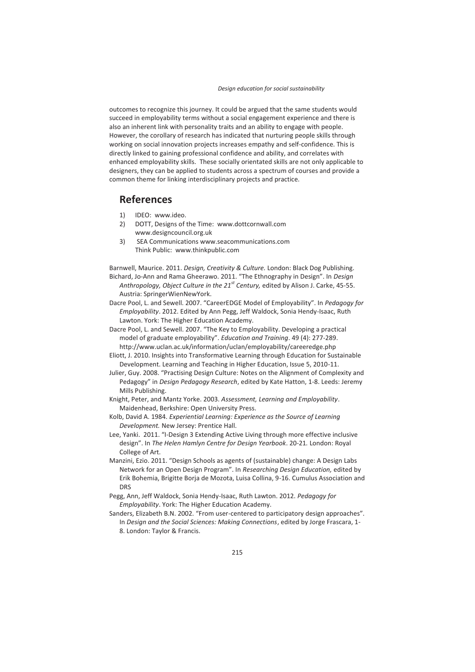outcomes to recognize this journey. It could be argued that the same students would succeed in employability terms without a social engagement experience and there is also an inherent link with personality traits and an ability to engage with people. However, the corollary of research has indicated that nurturing people skills through working on social innovation projects increases empathy and self-confidence. This is directly linked to gaining professional confidence and ability, and correlates with enhanced employability skills. These socially orientated skills are not only applicable to designers, they can be applied to students across a spectrum of courses and provide a common theme for linking interdisciplinary projects and practice.

# **References**

- 1) IDEO: www.ideo.
- 2) DOTT, Designs of the Time: www.dottcornwall.com www.designcouncil.org.uk
- 3) SEA Communications www.seacommunications.com Think Public: www.thinkpublic.com

Barnwell, Maurice. 2011. *Design, Creativity & Culture.* London: Black Dog Publishing. Bichard, Jo-Ann and Rama Gheerawo. 2011. "The Ethnography in Design". In *Design Anthropology, Object Culture in the 21st Century,* edited by Alison J. Carke, 45-55. Austria: SpringerWienNewYork.

Dacre Pool, L. and Sewell. 2007. "CareerEDGE Model of Employability". In *Pedagogy for Employability*. 2012. Edited by Ann Pegg, Jeff Waldock, Sonia Hendy-Isaac, Ruth Lawton. York: The Higher Education Academy.

Dacre Pool, L. and Sewell. 2007. "The Key to Employability. Developing a practical model of graduate employability". *Education and Training*. 49 (4): 277-289. http://www.uclan.ac.uk/information/uclan/employability/careeredge.php

Eliott, J. 2010. Insights into Transformative Learning through Education for Sustainable Development. Learning and Teaching in Higher Education, Issue 5, 2010-11.

Julier, Guy. 2008. "Practising Design Culture: Notes on the Alignment of Complexity and Pedagogy" in *Design Pedagogy Research*, edited by Kate Hatton, 1-8. Leeds: Jeremy Mills Publishing.

Knight, Peter, and Mantz Yorke. 2003. *Assessment, Learning and Employability*. Maidenhead, Berkshire: Open University Press.

Kolb, David A. 1984. *Experiential Learning: Experience as the Source of Learning Development.* New Jersey: Prentice Hall.

Lee, Yanki. 2011. "I-Design 3 Extending Active Living through more effective inclusive design". In *The Helen Hamlyn Centre for Design Yearbook*. 20-21*.* London: Royal College of Art.

- Manzini, Ezio. 2011. "Design Schools as agents of (sustainable) change: A Design Labs Network for an Open Design Program". In *Researching Design Education,* edited by Erik Bohemia, Brigitte Borja de Mozota, Luisa Collina, 9-16. Cumulus Association and **DRS**
- Pegg, Ann, Jeff Waldock, Sonia Hendy-Isaac, Ruth Lawton. 2012. *Pedagogy for Employability*. York: The Higher Education Academy.
- Sanders, Elizabeth B.N. 2002. "From user-centered to participatory design approaches". In *Design and the Social Sciences: Making Connections*, edited by Jorge Frascara, 1- 8. London: Taylor & Francis.